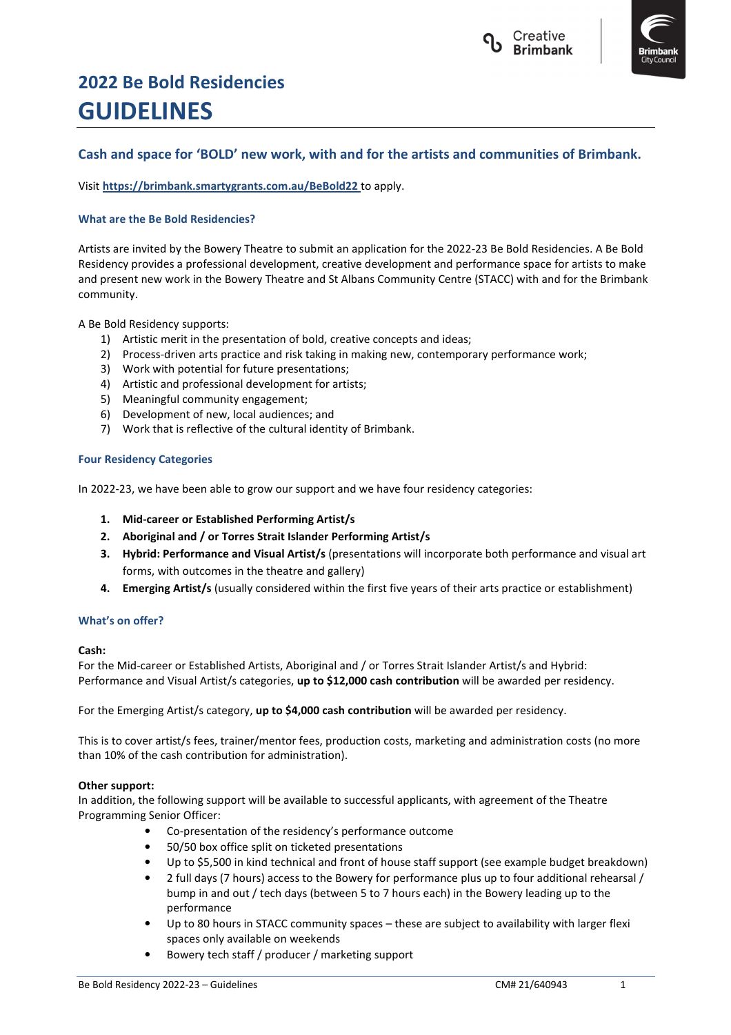



# **2022 Be Bold Residencies GUIDELINES**

# **Cash and space for 'BOLD' new work, with and for the artists and communities of Brimbank.**

Visit **https://brimbank.smartygrants.com.au/BeBold22** to apply.

# **What are the Be Bold Residencies?**

Artists are invited by the Bowery Theatre to submit an application for the 2022-23 Be Bold Residencies. A Be Bold Residency provides a professional development, creative development and performance space for artists to make and present new work in the Bowery Theatre and St Albans Community Centre (STACC) with and for the Brimbank community.

# A Be Bold Residency supports:

- 1) Artistic merit in the presentation of bold, creative concepts and ideas;
- 2) Process-driven arts practice and risk taking in making new, contemporary performance work;
- 3) Work with potential for future presentations;
- 4) Artistic and professional development for artists;
- 5) Meaningful community engagement;
- 6) Development of new, local audiences; and
- 7) Work that is reflective of the cultural identity of Brimbank.

# **Four Residency Categories**

In 2022-23, we have been able to grow our support and we have four residency categories:

- **1. Mid-career or Established Performing Artist/s**
- **2. Aboriginal and / or Torres Strait Islander Performing Artist/s**
- **3. Hybrid: Performance and Visual Artist/s** (presentations will incorporate both performance and visual art forms, with outcomes in the theatre and gallery)
- **4. Emerging Artist/s** (usually considered within the first five years of their arts practice or establishment)

# **What's on offer?**

# **Cash:**

For the Mid-career or Established Artists, Aboriginal and / or Torres Strait Islander Artist/s and Hybrid: Performance and Visual Artist/s categories, **up to \$12,000 cash contribution** will be awarded per residency.

For the Emerging Artist/s category, **up to \$4,000 cash contribution** will be awarded per residency.

This is to cover artist/s fees, trainer/mentor fees, production costs, marketing and administration costs (no more than 10% of the cash contribution for administration).

# **Other support:**

In addition, the following support will be available to successful applicants, with agreement of the Theatre Programming Senior Officer:

- Co-presentation of the residency's performance outcome
- 50/50 box office split on ticketed presentations
- Up to \$5,500 in kind technical and front of house staff support (see example budget breakdown)
- 2 full days (7 hours) access to the Bowery for performance plus up to four additional rehearsal / bump in and out / tech days (between 5 to 7 hours each) in the Bowery leading up to the performance
- Up to 80 hours in STACC community spaces these are subject to availability with larger flexi spaces only available on weekends
- Bowery tech staff / producer / marketing support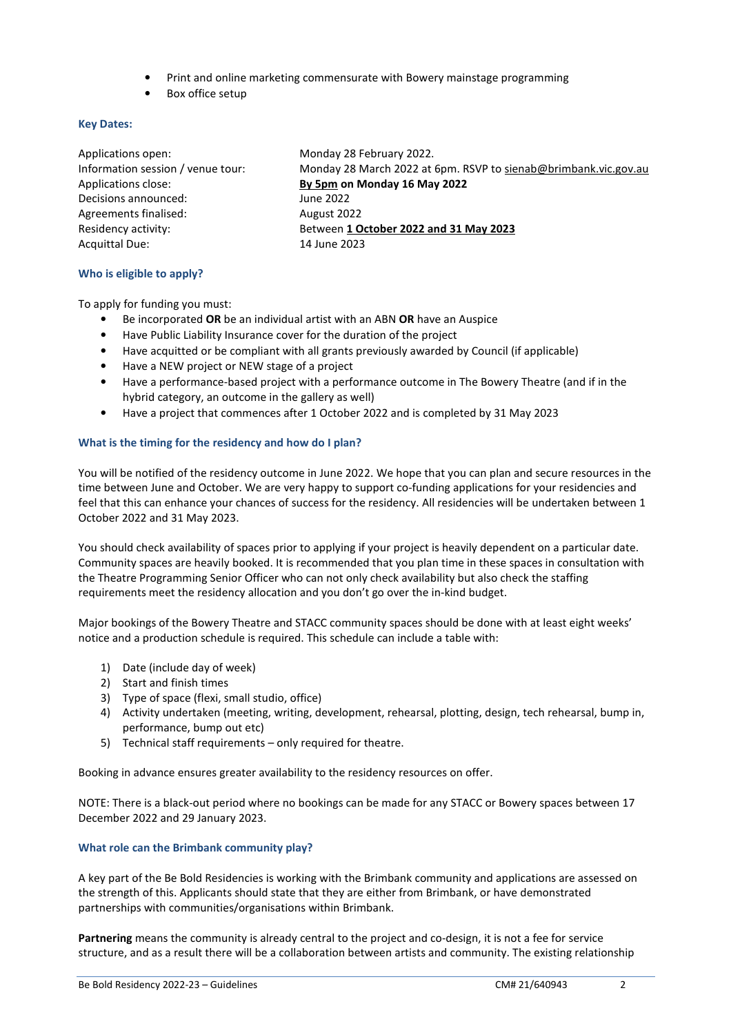- Print and online marketing commensurate with Bowery mainstage programming
- Box office setup

#### **Key Dates:**

| Applications open:                | Monday 28 February 2022.                                        |
|-----------------------------------|-----------------------------------------------------------------|
| Information session / venue tour: | Monday 28 March 2022 at 6pm. RSVP to sienab@brimbank.vic.gov.au |
| Applications close:               | By 5pm on Monday 16 May 2022                                    |
| Decisions announced:              | June 2022                                                       |
| Agreements finalised:             | August 2022                                                     |
| Residency activity:               | Between 1 October 2022 and 31 May 2023                          |
| Acquittal Due:                    | 14 June 2023                                                    |
|                                   |                                                                 |

# **Who is eligible to apply?**

To apply for funding you must:

- Be incorporated **OR** be an individual artist with an ABN **OR** have an Auspice
- Have Public Liability Insurance cover for the duration of the project
- Have acquitted or be compliant with all grants previously awarded by Council (if applicable)
- Have a NEW project or NEW stage of a project
- Have a performance-based project with a performance outcome in The Bowery Theatre (and if in the hybrid category, an outcome in the gallery as well)
- Have a project that commences after 1 October 2022 and is completed by 31 May 2023

#### **What is the timing for the residency and how do I plan?**

You will be notified of the residency outcome in June 2022. We hope that you can plan and secure resources in the time between June and October. We are very happy to support co-funding applications for your residencies and feel that this can enhance your chances of success for the residency. All residencies will be undertaken between 1 October 2022 and 31 May 2023.

You should check availability of spaces prior to applying if your project is heavily dependent on a particular date. Community spaces are heavily booked. It is recommended that you plan time in these spaces in consultation with the Theatre Programming Senior Officer who can not only check availability but also check the staffing requirements meet the residency allocation and you don't go over the in-kind budget.

Major bookings of the Bowery Theatre and STACC community spaces should be done with at least eight weeks' notice and a production schedule is required. This schedule can include a table with:

- 1) Date (include day of week)
- 2) Start and finish times
- 3) Type of space (flexi, small studio, office)
- 4) Activity undertaken (meeting, writing, development, rehearsal, plotting, design, tech rehearsal, bump in, performance, bump out etc)
- 5) Technical staff requirements only required for theatre.

Booking in advance ensures greater availability to the residency resources on offer.

NOTE: There is a black-out period where no bookings can be made for any STACC or Bowery spaces between 17 December 2022 and 29 January 2023.

# **What role can the Brimbank community play?**

A key part of the Be Bold Residencies is working with the Brimbank community and applications are assessed on the strength of this. Applicants should state that they are either from Brimbank, or have demonstrated partnerships with communities/organisations within Brimbank.

**Partnering** means the community is already central to the project and co-design, it is not a fee for service structure, and as a result there will be a collaboration between artists and community. The existing relationship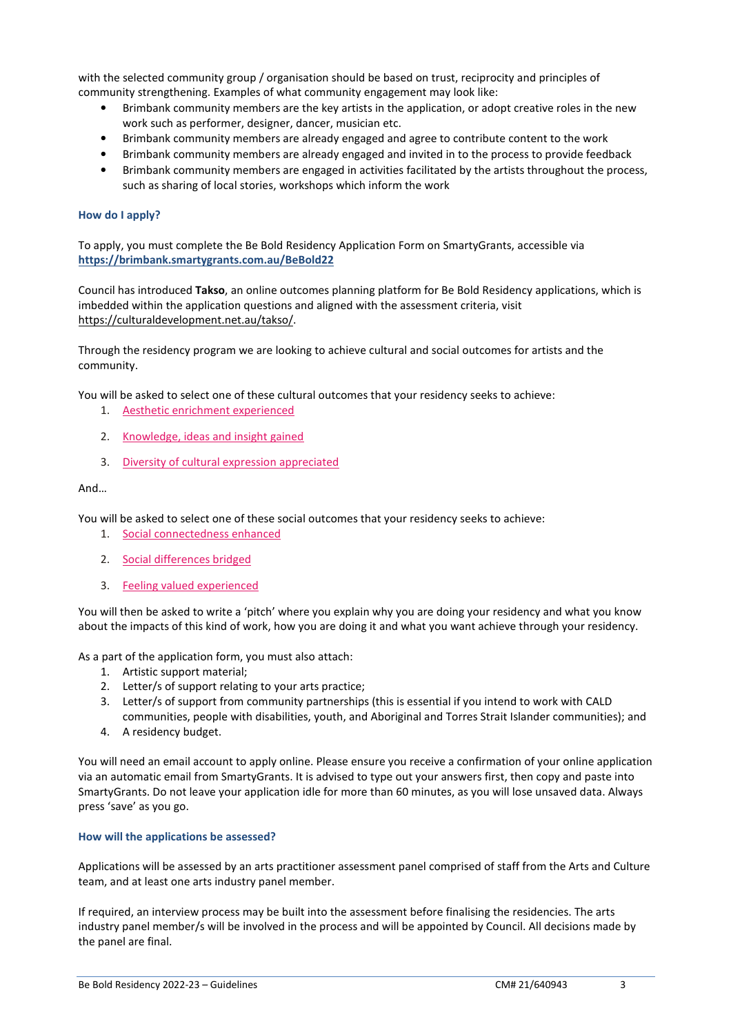with the selected community group / organisation should be based on trust, reciprocity and principles of community strengthening. Examples of what community engagement may look like:

- Brimbank community members are the key artists in the application, or adopt creative roles in the new work such as performer, designer, dancer, musician etc.
- Brimbank community members are already engaged and agree to contribute content to the work
- Brimbank community members are already engaged and invited in to the process to provide feedback
- Brimbank community members are engaged in activities facilitated by the artists throughout the process, such as sharing of local stories, workshops which inform the work

# **How do I apply?**

To apply, you must complete the Be Bold Residency Application Form on SmartyGrants, accessible via **https://brimbank.smartygrants.com.au/BeBold22** 

Council has introduced **Takso**, an online outcomes planning platform for Be Bold Residency applications, which is imbedded within the application questions and aligned with the assessment criteria, visit https://culturaldevelopment.net.au/takso/.

Through the residency program we are looking to achieve cultural and social outcomes for artists and the community.

You will be asked to select one of these cultural outcomes that your residency seeks to achieve:

- 1. Aesthetic enrichment experienced
- 2. Knowledge, ideas and insight gained
- 3. Diversity of cultural expression appreciated

# And…

You will be asked to select one of these social outcomes that your residency seeks to achieve:

- 1. Social connectedness enhanced
- 2. Social differences bridged
- 3. Feeling valued experienced

You will then be asked to write a 'pitch' where you explain why you are doing your residency and what you know about the impacts of this kind of work, how you are doing it and what you want achieve through your residency.

As a part of the application form, you must also attach:

- 1. Artistic support material;
- 2. Letter/s of support relating to your arts practice;
- 3. Letter/s of support from community partnerships (this is essential if you intend to work with CALD communities, people with disabilities, youth, and Aboriginal and Torres Strait Islander communities); and
- 4. A residency budget.

You will need an email account to apply online. Please ensure you receive a confirmation of your online application via an automatic email from SmartyGrants. It is advised to type out your answers first, then copy and paste into SmartyGrants. Do not leave your application idle for more than 60 minutes, as you will lose unsaved data. Always press 'save' as you go.

# **How will the applications be assessed?**

Applications will be assessed by an arts practitioner assessment panel comprised of staff from the Arts and Culture team, and at least one arts industry panel member.

If required, an interview process may be built into the assessment before finalising the residencies. The arts industry panel member/s will be involved in the process and will be appointed by Council. All decisions made by the panel are final.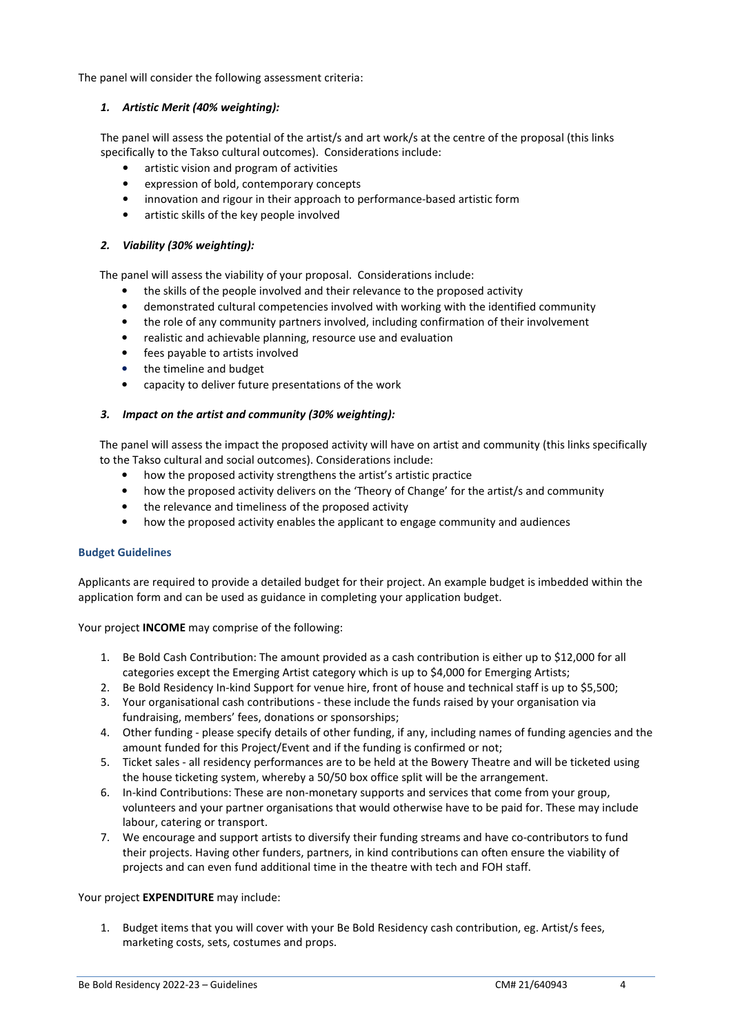The panel will consider the following assessment criteria:

# *1. Artistic Merit (40% weighting):*

The panel will assess the potential of the artist/s and art work/s at the centre of the proposal (this links specifically to the Takso cultural outcomes). Considerations include:

- artistic vision and program of activities
- expression of bold, contemporary concepts
- innovation and rigour in their approach to performance-based artistic form
- artistic skills of the key people involved

# *2. Viability (30% weighting):*

The panel will assess the viability of your proposal. Considerations include:

- the skills of the people involved and their relevance to the proposed activity
- demonstrated cultural competencies involved with working with the identified community
- the role of any community partners involved, including confirmation of their involvement
- realistic and achievable planning, resource use and evaluation
- fees payable to artists involved
- the timeline and budget
- capacity to deliver future presentations of the work

# *3. Impact on the artist and community (30% weighting):*

The panel will assess the impact the proposed activity will have on artist and community (this links specifically to the Takso cultural and social outcomes). Considerations include:

- how the proposed activity strengthens the artist's artistic practice
- how the proposed activity delivers on the 'Theory of Change' for the artist/s and community
- the relevance and timeliness of the proposed activity
- how the proposed activity enables the applicant to engage community and audiences

# **Budget Guidelines**

Applicants are required to provide a detailed budget for their project. An example budget is imbedded within the application form and can be used as guidance in completing your application budget.

Your project **INCOME** may comprise of the following:

- 1. Be Bold Cash Contribution: The amount provided as a cash contribution is either up to \$12,000 for all categories except the Emerging Artist category which is up to \$4,000 for Emerging Artists;
- 2. Be Bold Residency In-kind Support for venue hire, front of house and technical staff is up to \$5,500;
- 3. Your organisational cash contributions these include the funds raised by your organisation via fundraising, members' fees, donations or sponsorships;
- 4. Other funding please specify details of other funding, if any, including names of funding agencies and the amount funded for this Project/Event and if the funding is confirmed or not;
- 5. Ticket sales all residency performances are to be held at the Bowery Theatre and will be ticketed using the house ticketing system, whereby a 50/50 box office split will be the arrangement.
- 6. In-kind Contributions: These are non-monetary supports and services that come from your group, volunteers and your partner organisations that would otherwise have to be paid for. These may include labour, catering or transport.
- 7. We encourage and support artists to diversify their funding streams and have co-contributors to fund their projects. Having other funders, partners, in kind contributions can often ensure the viability of projects and can even fund additional time in the theatre with tech and FOH staff.

# Your project **EXPENDITURE** may include:

1. Budget items that you will cover with your Be Bold Residency cash contribution, eg. Artist/s fees, marketing costs, sets, costumes and props.